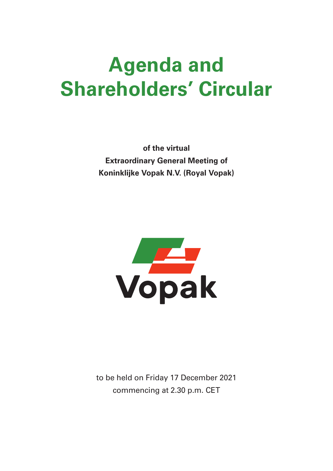# Agenda and Shareholders' Circular

of the virtual Extraordinary General Meeting of Koninklijke Vopak N.V. (Royal Vopak)



to be held on Friday 17 December 2021 commencing at 2.30 p.m. CET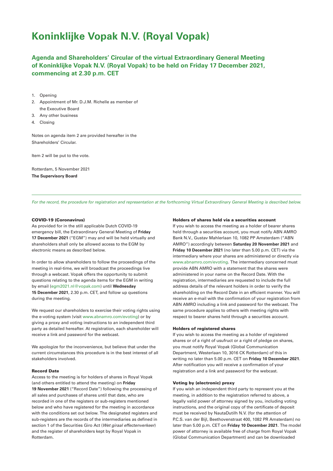# Koninklijke Vopak N.V. (Royal Vopak)

Agenda and Shareholders' Circular of the virtual Extraordinary General Meeting of Koninklijke Vopak N.V. (Royal Vopak) to be held on Friday 17 December 2021, commencing at 2.30 p.m. CET

- 1. Opening
- 2. Appointment of Mr. D.J.M. Richelle as member of the Executive Board
- 3. Any other business
- 4. Closing

Notes on agenda item 2 are provided hereafter in the Shareholders' Circular.

Item 2 will be put to the vote.

Rotterdam, 5 November 2021 The Supervisory Board

For the record, the procedure for registration and representation at the forthcoming Virtual Extraordinary General Meeting is described below.

## COVID-19 (Coronavirus)

As provided for in the still applicable Dutch COVID-19 emergency bill, the Extraordinary General Meeting of Friday 17 December 2021 ("EGM") may and will be held virtually and shareholders shall only be allowed access to the EGM by electronic means as described below.

In order to allow shareholders to follow the proceedings of the meeting in real-time, we will broadcast the proceedings live through a webcast. Vopak offers the opportunity to submit questions relating to the agenda items for the EGM in writing by email (egm2021.nl@vopak.com) until Wednesday 15 December 2021, 2.30 p.m. CET, and follow up questions during the meeting.

We request our shareholders to exercise their voting rights using the e-voting system (visit www.abnamro.com/evoting) or by giving a proxy and voting instructions to an independent third party as detailed hereafter. At registration, each shareholder will receive a link and password for the webcast.

We apologize for the inconvenience, but believe that under the current circumstances this procedure is in the best interest of all stakeholders involved.

# Record Date

Access to the meeting is for holders of shares in Royal Vopak (and others entitled to attend the meeting) on Friday 19 November 2021 ("Record Date") following the processing of all sales and purchases of shares until that date, who are recorded in one of the registers or sub-registers mentioned below and who have registered for the meeting in accordance with the conditions set out below. The designated registers and sub-registers are the records of the intermediaries as defined in section 1 of the Securities Giro Act (Wet giraal effectenverkeer) and the register of shareholders kept by Royal Vopak in Rotterdam.

#### Holders of shares held via a securities account

If you wish to access the meeting as a holder of bearer shares held through a securities account, you must notify ABN AMRO Bank N.V., Gustav Mahlerlaan 10, 1082 PP Amsterdam ("ABN AMRO") accordingly between Saturday 20 November 2021 and Friday 10 December 2021 (no later than 5.00 p.m. CET) via the intermediary where your shares are administered or directly via www.abnamro.com/evoting. The intermediary concerned must provide ABN AMRO with a statement that the shares were administered in your name on the Record Date. With the registration, intermediaries are requested to include the full address details of the relevant holders in order to verify the shareholding on the Record Date in an efficient manner. You will receive an e-mail with the confirmation of your registration from ABN AMRO including a link and password for the webcast. The same procedure applies to others with meeting rights with respect to bearer shares held through a securities account.

# Holders of registered shares

If you wish to access the meeting as a holder of registered shares or of a right of usufruct or a right of pledge on shares, you must notify Royal Vopak (Global Communication Department, Westerlaan 10, 3016 CK Rotterdam) of this in writing no later than 5.00 p.m. CET on Friday 10 December 2021. After notification you will receive a confirmation of your registration and a link and password for the webcast.

### Voting by (electronic) proxy

If you wish an independent third party to represent you at the meeting, in addition to the registration referred to above, a legally valid power of attorney signed by you, including voting instructions, and the original copy of the certificate of deposit must be received by NautaDutilh N.V. (for the attention of P.C.S. van der Bijl, Beethovenstraat 400, 1082 PR Amsterdam) no later than 5.00 p.m. CET on Friday 10 December 2021. The model power of attorney is available free of charge from Royal Vopak (Global Communication Department) and can be downloaded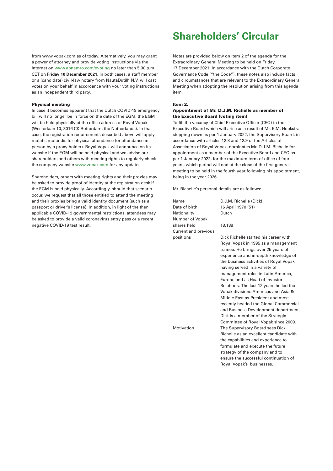from www.vopak.com as of today. Alternatively, you may grant a power of attorney and provide voting instructions via the Internet on www.abnamro.com/evoting no later than 5.00 p.m. CET on Friday 10 December 2021. In both cases, a staff member or a (candidate) civil-law notary from NautaDutilh N.V. will cast votes on your behalf in accordance with your voting instructions as an independent third party.

#### Physical meeting

In case it becomes apparent that the Dutch COVID-19 emergency bill will no longer be in force on the date of the EGM, the EGM will be held physically at the office address of Royal Vopak (Westerlaan 10, 3016 CK Rotterdam, the Netherlands). In that case, the registration requirements described above will apply mutatis mutandis for physical attendance (or attendance in person by a proxy holder). Royal Vopak will announce on its website if the EGM will be held physical and we advise our shareholders and others with meeting rights to regularly check the company website www.vopak.com for any updates.

Shareholders, others with meeting rights and their proxies may be asked to provide proof of identity at the registration desk if the EGM is held physically. Accordingly, should that scenario occur, we request that all those entitled to attend the meeting and their proxies bring a valid identity document (such as a passport or driver's license). In addition, in light of the then applicable COVID-19 governmental restrictions, attendees may be asked to provide a valid coronavirus entry pass or a recent negative COVID-19 test result.

# Shareholders' Circular

Notes are provided below on item 2 of the agenda for the Extraordinary General Meeting to be held on Friday 17 December 2021. In accordance with the Dutch Corporate Governance Code ("the Code"), these notes also include facts and circumstances that are relevant to the Extraordinary General Meeting when adopting the resolution arising from this agenda item.

#### Item 2.

## Appointment of Mr. D.J.M. Richelle as member of the Executive Board (voting item)

To fill the vacancy of Chief Executive Officer (CEO) in the Executive Board which will arise as a result of Mr. E.M. Hoekstra stepping down as per 1 January 2022, the Supervisory Board, in accordance with articles 12.8 and 12.9 of the Articles of Association of Royal Vopak, nominates Mr. D.J.M. Richelle for appointment as a member of the Executive Board and CEO as per 1 January 2022, for the maximum term of office of four years, which period will end at the close of the first general meeting to be held in the fourth year following his appointment, being in the year 2026.

Mr. Richelle's personal details are as follows:

Name D.J.M. Richelle (Dick) Date of birth 16 April 1970 (51) Nationality **Dutch** Number of Vopak shares held 18,188 Current and previous

positions Dick Richelle started his career with Royal Vopak in 1995 as a management trainee. He brings over 25 years of experience and in-depth knowledge of the business activities of Royal Vopak having served in a variety of management roles in Latin America, Europe and as Head of Investor Relations. The last 12 years he led the Vopak divisions Americas and Asia & Middle East as President and most recently headed the Global Commercial and Business Development department. Dick is a member of the Strategic Committee of Royal Vopak since 2009. Motivation The Supervisory Board sees Dick Richelle as an excellent candidate with the capabilities and experience to formulate and execute the future strategy of the company and to ensure the successful continuation of Royal Vopak's businesses.